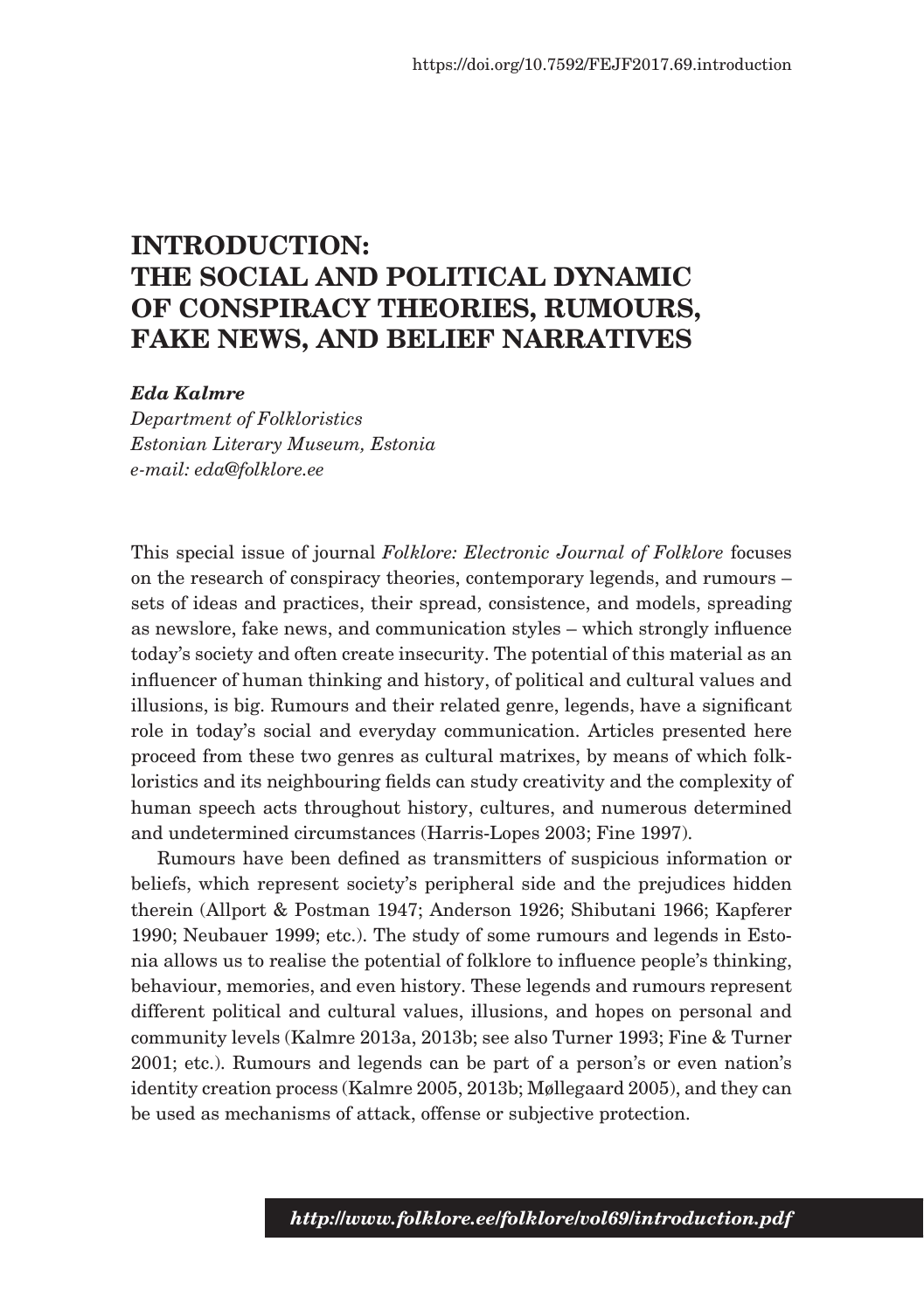## **INTRODUCTION: THE SOCIAL AND POLITICAL DYNAMIC OF CONSPIRACY THEORIES, RUMOURS, FAKE NEWS, AND BELIEF NARRATIVES**

## *Eda Kalmre*

*Department of Folkloristics Estonian Literary Museum, Estonia e-mail: eda@folklore.ee*

This special issue of journal *Folklore: Electronic Journal of Folklore* focuses on the research of conspiracy theories, contemporary legends, and rumours – sets of ideas and practices, their spread, consistence, and models, spreading as newslore, fake news, and communication styles – which strongly influence today's society and often create insecurity. The potential of this material as an influencer of human thinking and history, of political and cultural values and illusions, is big. Rumours and their related genre, legends, have a significant role in today's social and everyday communication. Articles presented here proceed from these two genres as cultural matrixes, by means of which folkloristics and its neighbouring fields can study creativity and the complexity of human speech acts throughout history, cultures, and numerous determined and undetermined circumstances (Harris-Lopes 2003; Fine 1997).

Rumours have been defined as transmitters of suspicious information or beliefs, which represent society's peripheral side and the prejudices hidden therein (Allport & Postman 1947; Anderson 1926; Shibutani 1966; Kapferer 1990; Neubauer 1999; etc.). The study of some rumours and legends in Estonia allows us to realise the potential of folklore to influence people's thinking, behaviour, memories, and even history. These legends and rumours represent different political and cultural values, illusions, and hopes on personal and community levels (Kalmre 2013a, 2013b; see also Turner 1993; Fine & Turner 2001; etc.). Rumours and legends can be part of a person's or even nation's identity creation process (Kalmre 2005, 2013b; Møllegaard 2005), and they can be used as mechanisms of attack, offense or subjective protection.

*http://www.folklore.ee/folklore/vol69/introduction.pdf*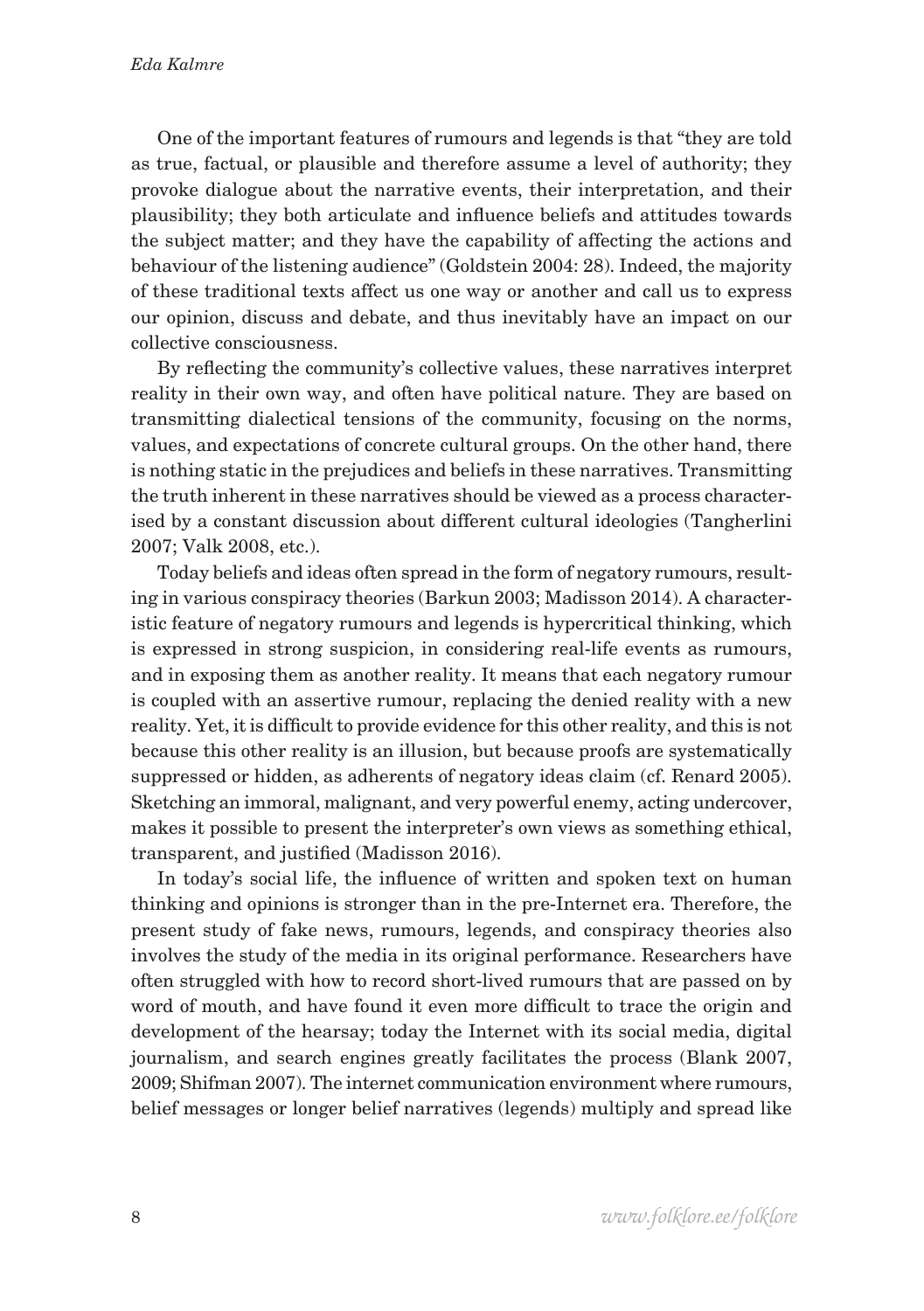One of the important features of rumours and legends is that "they are told as true, factual, or plausible and therefore assume a level of authority; they provoke dialogue about the narrative events, their interpretation, and their plausibility; they both articulate and influence beliefs and attitudes towards the subject matter; and they have the capability of affecting the actions and behaviour of the listening audience" (Goldstein 2004: 28). Indeed, the majority of these traditional texts affect us one way or another and call us to express our opinion, discuss and debate, and thus inevitably have an impact on our collective consciousness.

By reflecting the community's collective values, these narratives interpret reality in their own way, and often have political nature. They are based on transmitting dialectical tensions of the community, focusing on the norms, values, and expectations of concrete cultural groups. On the other hand, there is nothing static in the prejudices and beliefs in these narratives. Transmitting the truth inherent in these narratives should be viewed as a process characterised by a constant discussion about different cultural ideologies (Tangherlini 2007; Valk 2008, etc.).

Today beliefs and ideas often spread in the form of negatory rumours, resulting in various conspiracy theories (Barkun 2003; Madisson 2014). A characteristic feature of negatory rumours and legends is hypercritical thinking, which is expressed in strong suspicion, in considering real-life events as rumours, and in exposing them as another reality. It means that each negatory rumour is coupled with an assertive rumour, replacing the denied reality with a new reality. Yet, it is difficult to provide evidence for this other reality, and this is not because this other reality is an illusion, but because proofs are systematically suppressed or hidden, as adherents of negatory ideas claim (cf. Renard 2005). Sketching an immoral, malignant, and very powerful enemy, acting undercover, makes it possible to present the interpreter's own views as something ethical, transparent, and justified (Madisson 2016).

In today's social life, the influence of written and spoken text on human thinking and opinions is stronger than in the pre-Internet era. Therefore, the present study of fake news, rumours, legends, and conspiracy theories also involves the study of the media in its original performance. Researchers have often struggled with how to record short-lived rumours that are passed on by word of mouth, and have found it even more difficult to trace the origin and development of the hearsay; today the Internet with its social media, digital journalism, and search engines greatly facilitates the process (Blank 2007, 2009; Shifman 2007). The internet communication environment where rumours, belief messages or longer belief narratives (legends) multiply and spread like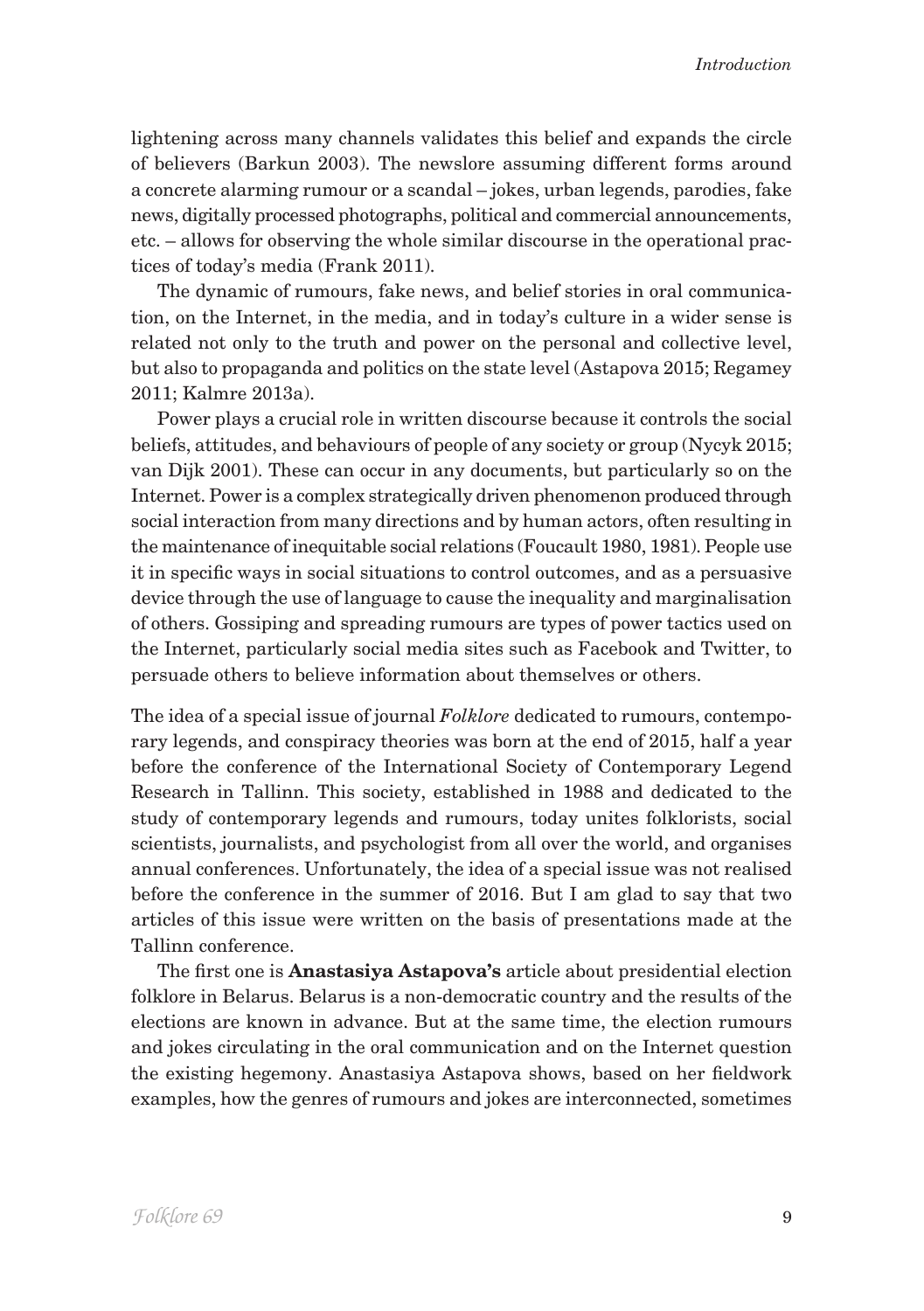lightening across many channels validates this belief and expands the circle of believers (Barkun 2003). The newslore assuming different forms around a concrete alarming rumour or a scandal – jokes, urban legends, parodies, fake news, digitally processed photographs, political and commercial announcements, etc. – allows for observing the whole similar discourse in the operational practices of today's media (Frank 2011).

The dynamic of rumours, fake news, and belief stories in oral communication, on the Internet, in the media, and in today's culture in a wider sense is related not only to the truth and power on the personal and collective level, but also to propaganda and politics on the state level (Astapova 2015; Regamey 2011; Kalmre 2013a).

Power plays a crucial role in written discourse because it controls the social beliefs, attitudes, and behaviours of people of any society or group (Nycyk 2015; van Dijk 2001). These can occur in any documents, but particularly so on the Internet. Power is a complex strategically driven phenomenon produced through social interaction from many directions and by human actors, often resulting in the maintenance of inequitable social relations (Foucault 1980, 1981). People use it in specific ways in social situations to control outcomes, and as a persuasive device through the use of language to cause the inequality and marginalisation of others. Gossiping and spreading rumours are types of power tactics used on the Internet, particularly social media sites such as Facebook and Twitter, to persuade others to believe information about themselves or others.

The idea of a special issue of journal *Folklore* dedicated to rumours, contemporary legends, and conspiracy theories was born at the end of 2015, half a year before the conference of the International Society of Contemporary Legend Research in Tallinn. This society, established in 1988 and dedicated to the study of contemporary legends and rumours, today unites folklorists, social scientists, journalists, and psychologist from all over the world, and organises annual conferences. Unfortunately, the idea of a special issue was not realised before the conference in the summer of 2016. But I am glad to say that two articles of this issue were written on the basis of presentations made at the Tallinn conference.

The first one is **Anastasiya Astapova's** article about presidential election folklore in Belarus. Belarus is a non-democratic country and the results of the elections are known in advance. But at the same time, the election rumours and jokes circulating in the oral communication and on the Internet question the existing hegemony. Anastasiya Astapova shows, based on her fieldwork examples, how the genres of rumours and jokes are interconnected, sometimes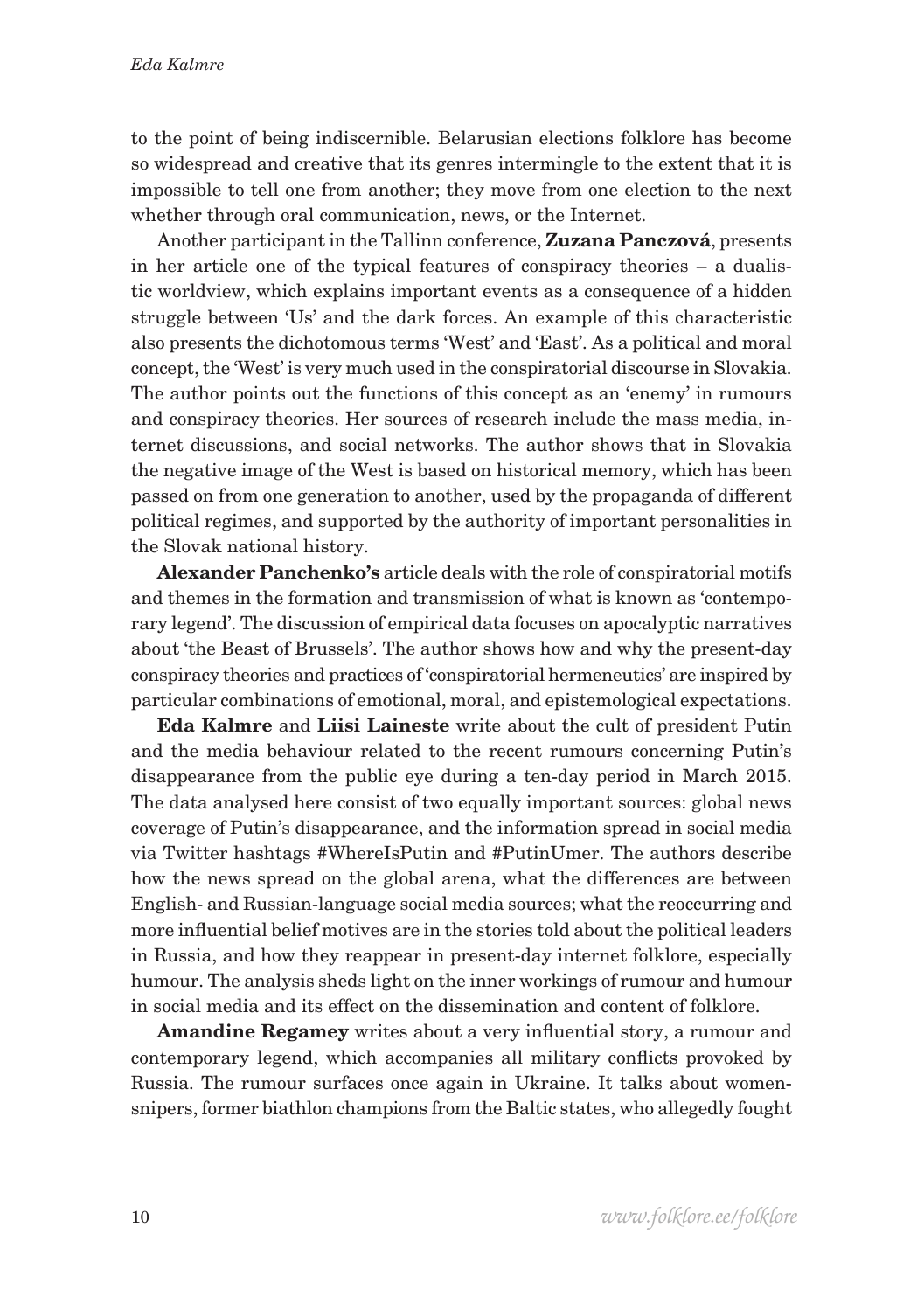to the point of being indiscernible. Belarusian elections folklore has become so widespread and creative that its genres intermingle to the extent that it is impossible to tell one from another; they move from one election to the next whether through oral communication, news, or the Internet.

Another participant in the Tallinn conference, **Zuzana Panczová**, presents in her article one of the typical features of conspiracy theories – a dualistic worldview, which explains important events as a consequence of a hidden struggle between 'Us' and the dark forces. An example of this characteristic also presents the dichotomous terms 'West' and 'East'. As a political and moral concept, the 'West' is very much used in the conspiratorial discourse in Slovakia. The author points out the functions of this concept as an 'enemy' in rumours and conspiracy theories. Her sources of research include the mass media, internet discussions, and social networks. The author shows that in Slovakia the negative image of the West is based on historical memory, which has been passed on from one generation to another, used by the propaganda of different political regimes, and supported by the authority of important personalities in the Slovak national history.

**Alexander Panchenko's** article deals with the role of conspiratorial motifs and themes in the formation and transmission of what is known as 'contemporary legend'. The discussion of empirical data focuses on apocalyptic narratives about 'the Beast of Brussels'. The author shows how and why the present-day conspiracy theories and practices of 'conspiratorial hermeneutics' are inspired by particular combinations of emotional, moral, and epistemological expectations.

**Eda Kalmre** and **Liisi Laineste** write about the cult of president Putin and the media behaviour related to the recent rumours concerning Putin's disappearance from the public eye during a ten-day period in March 2015. The data analysed here consist of two equally important sources: global news coverage of Putin's disappearance, and the information spread in social media via Twitter hashtags #WhereIsPutin and #PutinUmer. The authors describe how the news spread on the global arena, what the differences are between English- and Russian-language social media sources; what the reoccurring and more influential belief motives are in the stories told about the political leaders in Russia, and how they reappear in present-day internet folklore, especially humour. The analysis sheds light on the inner workings of rumour and humour in social media and its effect on the dissemination and content of folklore.

**Amandine Regamey** writes about a very influential story, a rumour and contemporary legend, which accompanies all military conflicts provoked by Russia. The rumour surfaces once again in Ukraine. It talks about womensnipers, former biathlon champions from the Baltic states, who allegedly fought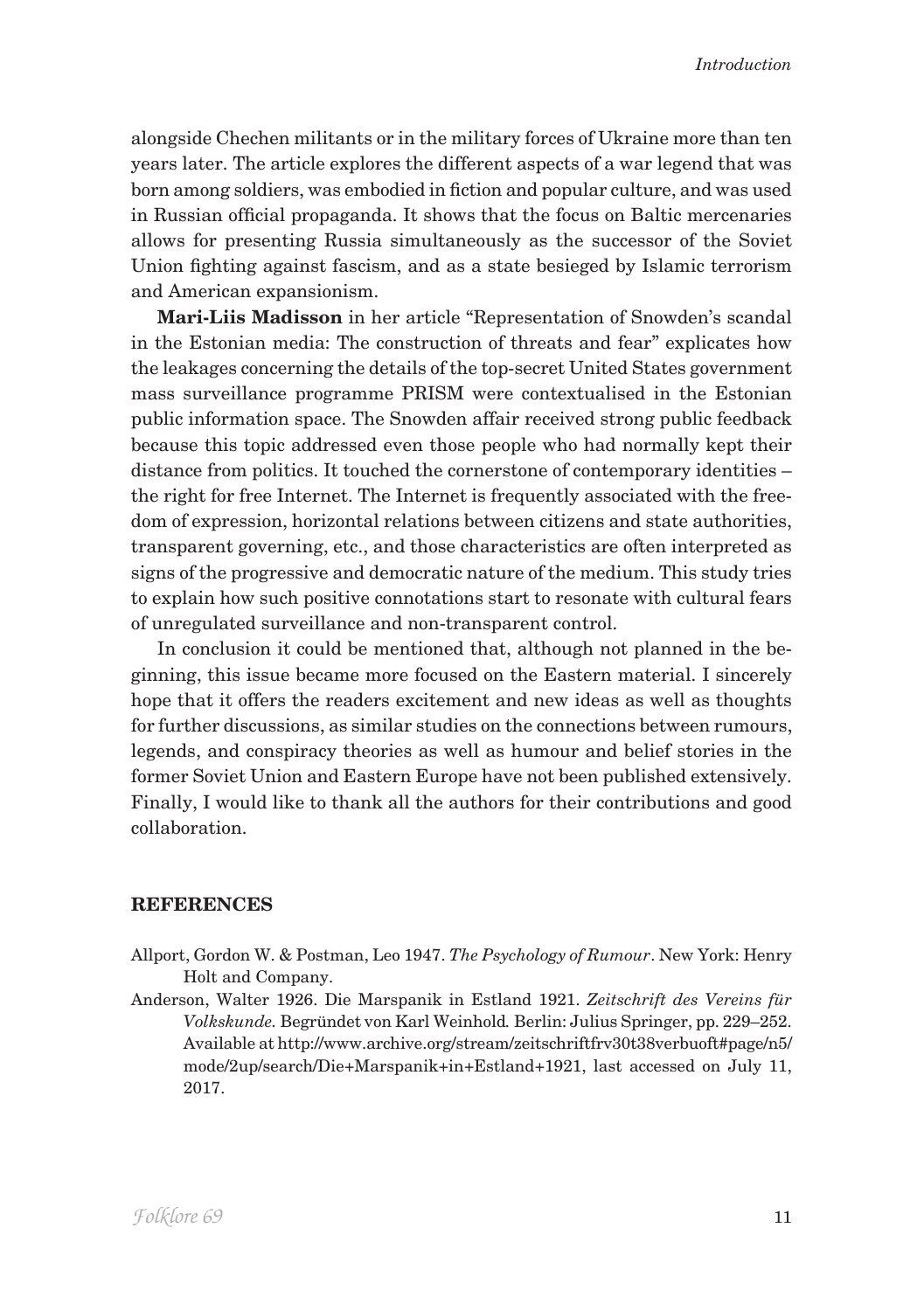alongside Chechen militants or in the military forces of Ukraine more than ten years later. The article explores the different aspects of a war legend that was born among soldiers, was embodied in fiction and popular culture, and was used in Russian official propaganda. It shows that the focus on Baltic mercenaries allows for presenting Russia simultaneously as the successor of the Soviet Union fighting against fascism, and as a state besieged by Islamic terrorism and American expansionism.

**Mari-Liis Madisson** in her article "Representation of Snowden's scandal in the Estonian media: The construction of threats and fear" explicates how the leakages concerning the details of the top-secret United States government mass surveillance programme PRISM were contextualised in the Estonian public information space. The Snowden affair received strong public feedback because this topic addressed even those people who had normally kept their distance from politics. It touched the cornerstone of contemporary identities – the right for free Internet. The Internet is frequently associated with the freedom of expression, horizontal relations between citizens and state authorities, transparent governing, etc., and those characteristics are often interpreted as signs of the progressive and democratic nature of the medium. This study tries to explain how such positive connotations start to resonate with cultural fears of unregulated surveillance and non-transparent control.

In conclusion it could be mentioned that, although not planned in the beginning, this issue became more focused on the Eastern material. I sincerely hope that it offers the readers excitement and new ideas as well as thoughts for further discussions, as similar studies on the connections between rumours, legends, and conspiracy theories as well as humour and belief stories in the former Soviet Union and Eastern Europe have not been published extensively. Finally, I would like to thank all the authors for their contributions and good collaboration.

## **References**

- Allport, Gordon W. & Postman, Leo 1947. *The Psychology of Rumour*. New York: Henry Holt and Company.
- Anderson, Walter 1926. Die Marspanik in Estland 1921. *Zeitschrift des Vereins für Volkskunde.* Begründet von Karl Weinhold*.* Berlin: Julius Springer, pp. 229–252. Available at http://www.archive.org/stream/zeitschriftfrv30t38verbuoft#page/n5/ mode/2up/search/Die+Marspanik+in+Estland+1921, last accessed on July 11, 2017.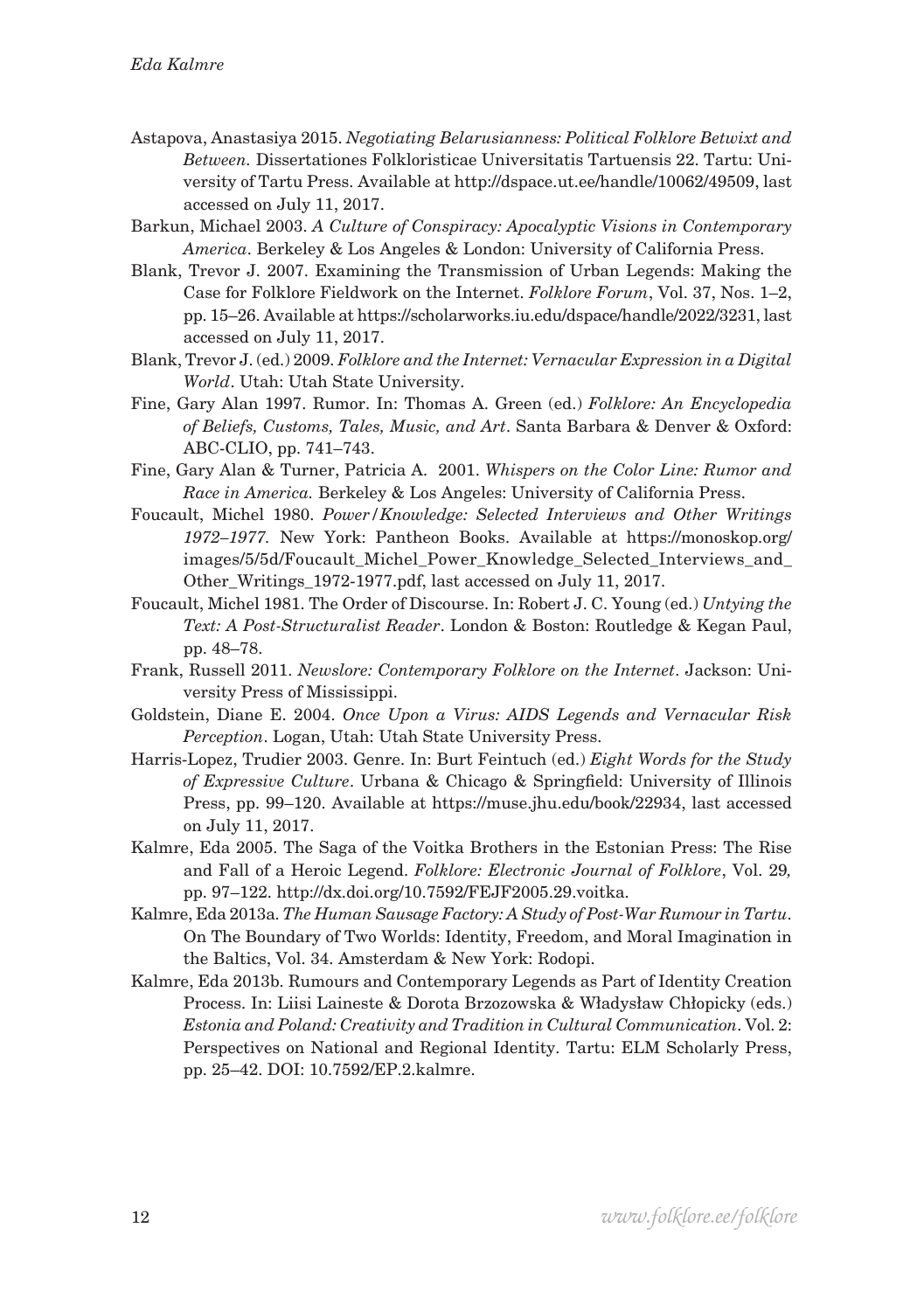- Astapova, Anastasiya 2015. *Negotiating Belarusianness: Political Folklore Betwixt and Between.* Dissertationes Folkloristicae Universitatis Tartuensis 22. Tartu: University of Tartu Press. Available at http://dspace.ut.ee/handle/10062/49509, last accessed on July 11, 2017.
- Barkun, Michael 2003. *A Culture of Conspiracy: Apocalyptic Visions in Contemporary America*. Berkeley & Los Angeles & London: University of California Press.
- Blank, Trevor J. 2007. Examining the Transmission of Urban Legends: Making the Case for Folklore Fieldwork on the Internet. *Folklore Forum*, Vol. 37, Nos. 1–2, pp. 15–26. Available at https://scholarworks.iu.edu/dspace/handle/2022/3231, last accessed on July 11, 2017.
- Blank, Trevor J. (ed.) 2009. *Folklore and the Internet: Vernacular Expression in a Digital World*. Utah: Utah State University.
- Fine, Gary Alan 1997. Rumor. In: Thomas A. Green (ed.) *Folklore: An Encyclopedia of Beliefs, Customs, Tales, Music, and Art*. Santa Barbara & Denver & Oxford: ABC-CLIO, pp. 741–743.
- Fine, Gary Alan & Turner, Patricia A. 2001. *Whispers on the Color Line: Rumor and Race in America.* Berkeley & Los Angeles: University of California Press.
- Foucault, Michel 1980. *Power/Knowledge: Selected Interviews and Other Writings 1972–1977.* New York: Pantheon Books. Available at https://monoskop.org/ images/5/5d/Foucault\_Michel\_Power\_Knowledge\_Selected\_Interviews\_and\_ Other\_Writings\_1972-1977.pdf, last accessed on July 11, 2017.
- Foucault, Michel 1981. The Order of Discourse. In: Robert J. C. Young (ed.) *Untying the Text: A Post-Structuralist Reader*. London & Boston: Routledge & Kegan Paul, pp. 48–78.
- Frank, Russell 2011. *Newslore: Contemporary Folklore on the Internet*. Jackson: University Press of Mississippi.
- Goldstein, Diane E. 2004. *Once Upon a Virus: AIDS Legends and Vernacular Risk Perception*. Logan, Utah: Utah State University Press.
- Harris-Lopez, Trudier 2003. Genre. In: Burt Feintuch (ed.) *Eight Words for the Study of Expressive Culture*. Urbana & Chicago & Springfield: University of Illinois Press, pp. 99–120. Available at https://muse.jhu.edu/book/22934, last accessed on July 11, 2017.
- Kalmre, Eda 2005. The Saga of the Voitka Brothers in the Estonian Press: The Rise and Fall of a Heroic Legend. *Folklore: Electronic Journal of Folklore*, Vol. 29*,* pp. 97–122. http://dx.doi.org/10.7592/FEJF2005.29.voitka.
- Kalmre, Eda 2013a. *The Human Sausage Factory: A Study of Post-War Rumour in Tartu*. On The Boundary of Two Worlds: Identity, Freedom, and Moral Imagination in the Baltics, Vol. 34. Amsterdam & New York: Rodopi.
- Kalmre, Eda 2013b. Rumours and Contemporary Legends as Part of Identity Creation Process. In: Liisi Laineste & Dorota Brzozowska & Władysław Chłopicky (eds.) *Estonia and Poland: Creativity and Tradition in Cultural Communication*. Vol. 2: Perspectives on National and Regional Identity. Tartu: ELM Scholarly Press, pp. 25–42. DOI: 10.7592/EP.2.kalmre.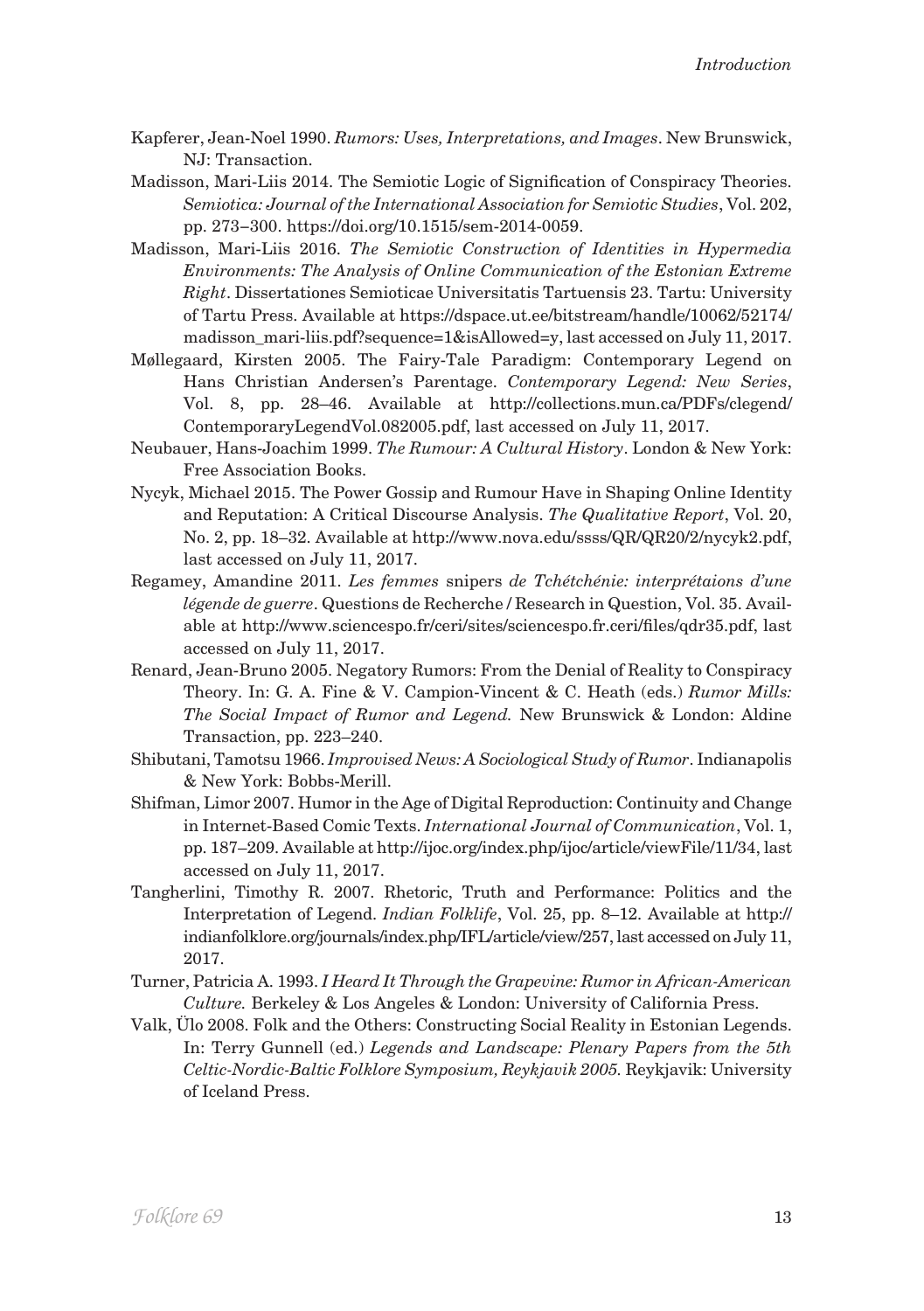- Kapferer, Jean-Noel 1990. *Rumors: Uses, Interpretations, and Images*. New Brunswick, NJ: Transaction.
- Madisson, Mari-Liis 2014. The Semiotic Logic of Signification of Conspiracy Theories. *Semiotica: Journal of the International Association for Semiotic Studies*, Vol. 202, pp. 273−300. https://doi.org/10.1515/sem-2014-0059.
- Madisson, Mari-Liis 2016. *The Semiotic Construction of Identities in Hypermedia Environments: The Analysis of Online Communication of the Estonian Extreme Right*. Dissertationes Semioticae Universitatis Tartuensis 23. Tartu: University of Tartu Press. Available at https://dspace.ut.ee/bitstream/handle/10062/52174/ madisson\_mari-liis.pdf?sequence=1&isAllowed=y, last accessed on July 11, 2017.
- Møllegaard, Kirsten 2005. The Fairy-Tale Paradigm: Contemporary Legend on Hans Christian Andersen's Parentage. *Contemporary Legend: New Series*, Vol. 8, pp. 28–46. Available at http://collections.mun.ca/PDFs/clegend/ ContemporaryLegendVol.082005.pdf, last accessed on July 11, 2017.
- Neubauer, Hans-Joachim 1999. *The Rumour: A Cultural History*. London & New York: Free Association Books.
- Nycyk, Michael 2015. The Power Gossip and Rumour Have in Shaping Online Identity and Reputation: A Critical Discourse Analysis. *The Qualitative Report*, Vol. 20, No. 2, pp. 18–32. Available at http://www.nova.edu/ssss/QR/QR20/2/nycyk2.pdf, last accessed on July 11, 2017.
- Regamey, Amandine 2011. *Les femmes* snipers *de Tchétchénie: interprétaions d'une légende de guerre*. Questions de Recherche / Research in Question, Vol. 35. Available at http://www.sciencespo.fr/ceri/sites/sciencespo.fr.ceri/files/qdr35.pdf, last accessed on July 11, 2017.
- Renard, Jean-Bruno 2005. Negatory Rumors: From the Denial of Reality to Conspiracy Theory. In: G. A. Fine & V. Campion-Vincent & C. Heath (eds.) *Rumor Mills: The Social Impact of Rumor and Legend.* New Brunswick & London: Aldine Transaction, pp. 223–240.
- Shibutani, Tamotsu 1966. *Improvised News: A Sociological Study of Rumor*. Indianapolis & New York: Bobbs-Merill.
- Shifman, Limor 2007. Humor in the Age of Digital Reproduction: Continuity and Change in Internet-Based Comic Texts. *International Journal of Communication*, Vol. 1, pp. 187–209. Available at http://ijoc.org/index.php/ijoc/article/viewFile/11/34, last accessed on July 11, 2017.
- Tangherlini, Timothy R. 2007. Rhetoric, Truth and Performance: Politics and the Interpretation of Legend. *Indian Folklife*, Vol. 25, pp. 8–12. Available at http:// indianfolklore.org/journals/index.php/IFL/article/view/257, last accessed on July 11, 2017.
- Turner, Patricia A. 1993. *I Heard It Through the Grapevine: Rumor in African-American Culture.* Berkeley & Los Angeles & London: University of California Press.
- Valk, Ülo 2008. Folk and the Others: Constructing Social Reality in Estonian Legends. In: Terry Gunnell (ed.) *Legends and Landscape: Plenary Papers from the 5th Celtic-Nordic-Baltic Folklore Symposium, Reykjavik 2005.* Reykjavik: University of Iceland Press.